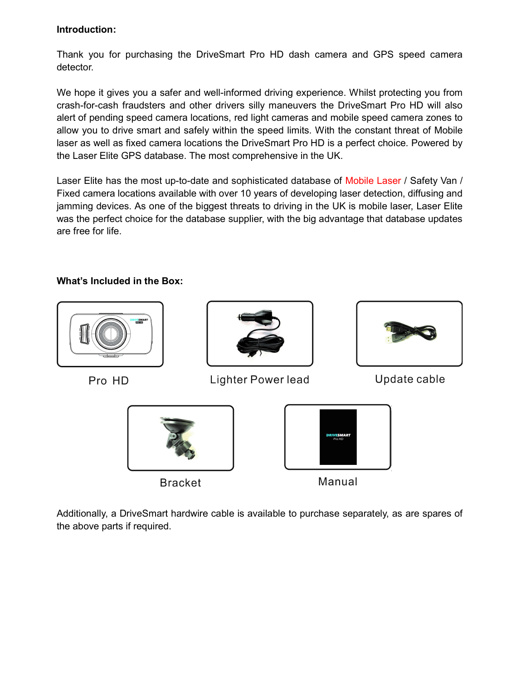## Introduction:

Thank you for purchasing the DriveSmart Pro HD dash camera and GPS speed camera detector.

We hope it gives you a safer and well-informed driving experience. Whilst protecting you from crash-for-cash fraudsters and other drivers silly maneuvers the DriveSmart Pro HD will also alert of pending speed camera locations, red light cameras and mobile speed camera zones to allow you to drive smart and safely within the speed limits. With the constant threat of Mobile laser as well as fixed camera locations the DriveSmart Pro HD is a perfect choice. Powered by the Laser Elite GPS database. The most comprehensive in the UK.

Laser Elite has the most up-to-date and sophisticated database of Mobile Laser / Safety Van / Fixed camera locations available with over 10 years of developing laser detection, diffusing and jamming devices. As one of the biggest threats to driving in the UK is mobile laser, Laser Elite was the perfect choice for the database supplier, with the big advantage that database updates are free for life.

# What's Included in the Box:



Additionally, a DriveSmart hardwire cable is available to purchase separately, as are spares of the above parts if required.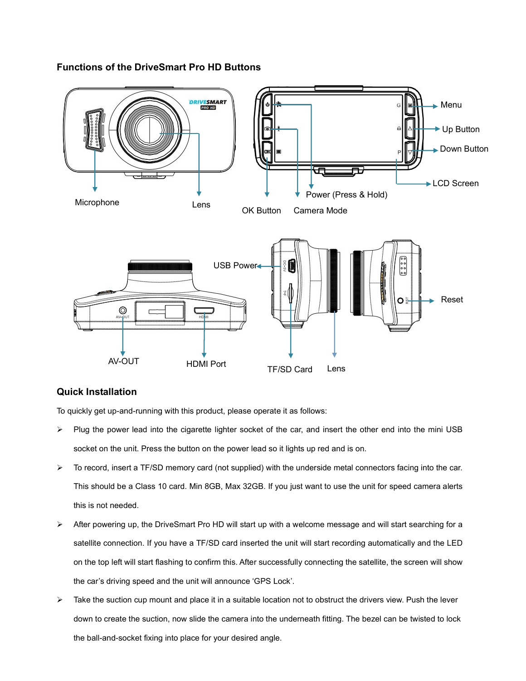#### Functions of the DriveSmart Pro HD Buttons



#### Quick Installation

To quickly get up-and-running with this product, please operate it as follows:

- $\triangleright$  Plug the power lead into the cigarette lighter socket of the car, and insert the other end into the mini USB socket on the unit. Press the button on the power lead so it lights up red and is on.
- $\triangleright$  To record, insert a TF/SD memory card (not supplied) with the underside metal connectors facing into the car. This should be a Class 10 card. Min 8GB, Max 32GB. If you just want to use the unit for speed camera alerts this is not needed.
- After powering up, the DriveSmart Pro HD will start up with a welcome message and will start searching for a satellite connection. If you have a TF/SD card inserted the unit will start recording automatically and the LED on the top left will start flashing to confirm this. After successfully connecting the satellite, the screen will show the car's driving speed and the unit will announce 'GPS Lock'.
- Take the suction cup mount and place it in a suitable location not to obstruct the drivers view. Push the lever down to create the suction, now slide the camera into the underneath fitting. The bezel can be twisted to lock the ball-and-socket fixing into place for your desired angle.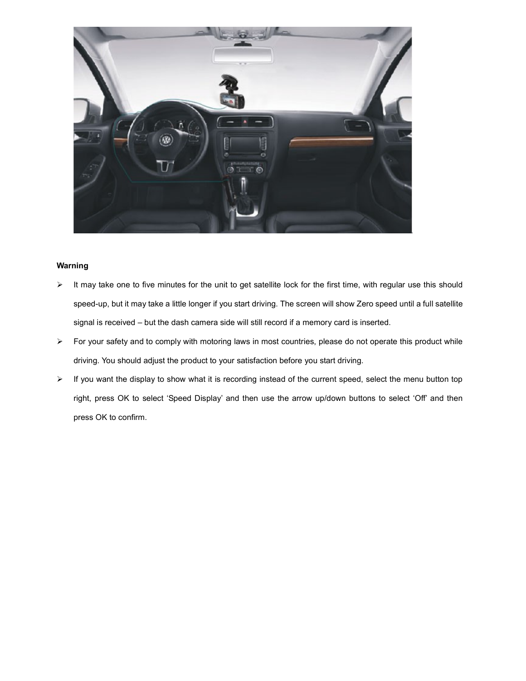

#### Warning

- $\triangleright$  It may take one to five minutes for the unit to get satellite lock for the first time, with regular use this should speed-up, but it may take a little longer if you start driving. The screen will show Zero speed until a full satellite signal is received – but the dash camera side will still record if a memory card is inserted.
- $\triangleright$  For your safety and to comply with motoring laws in most countries, please do not operate this product while driving. You should adjust the product to your satisfaction before you start driving.
- > If you want the display to show what it is recording instead of the current speed, select the menu button top right, press OK to select 'Speed Display' and then use the arrow up/down buttons to select 'Off' and then press OK to confirm.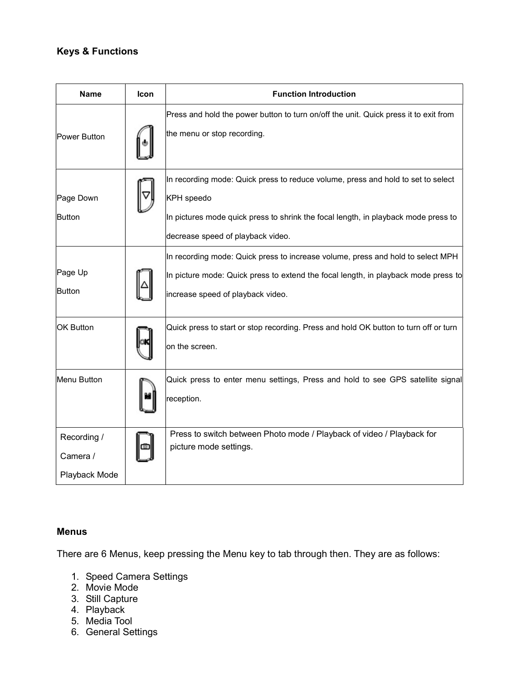# Keys & Functions

| <b>Name</b>                              | Icon | <b>Function Introduction</b>                                                                                                                                                                                              |
|------------------------------------------|------|---------------------------------------------------------------------------------------------------------------------------------------------------------------------------------------------------------------------------|
| Power Button                             |      | Press and hold the power button to turn on/off the unit. Quick press it to exit from<br>the menu or stop recording.                                                                                                       |
| Page Down<br>Button                      |      | In recording mode: Quick press to reduce volume, press and hold to set to select<br>KPH speedo<br>In pictures mode quick press to shrink the focal length, in playback mode press to<br>decrease speed of playback video. |
| Page Up<br>Button                        |      | In recording mode: Quick press to increase volume, press and hold to select MPH<br>In picture mode: Quick press to extend the focal length, in playback mode press to<br>increase speed of playback video.                |
| <b>OK Button</b>                         |      | Quick press to start or stop recording. Press and hold OK button to turn off or turn<br>on the screen.                                                                                                                    |
| Menu Button                              |      | Quick press to enter menu settings, Press and hold to see GPS satellite signal<br>reception.                                                                                                                              |
| Recording /<br>Camera /<br>Playback Mode |      | Press to switch between Photo mode / Playback of video / Playback for<br>picture mode settings.                                                                                                                           |

#### Menus

There are 6 Menus, keep pressing the Menu key to tab through then. They are as follows:

- 1. Speed Camera Settings
- 2. Movie Mode
- 3. Still Capture
- 4. Playback
- 5. Media Tool
- 6. General Settings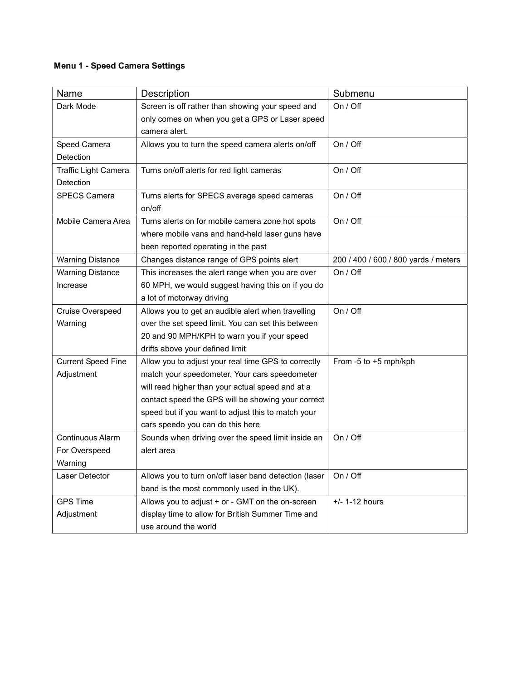# Menu 1 - Speed Camera Settings

| Name                      | Description                                           | Submenu                              |
|---------------------------|-------------------------------------------------------|--------------------------------------|
| Dark Mode                 | Screen is off rather than showing your speed and      | On / Off                             |
|                           | only comes on when you get a GPS or Laser speed       |                                      |
|                           | camera alert.                                         |                                      |
| Speed Camera              | Allows you to turn the speed camera alerts on/off     | On / Off                             |
| Detection                 |                                                       |                                      |
| Traffic Light Camera      | Turns on/off alerts for red light cameras             | On / Off                             |
| Detection                 |                                                       |                                      |
| <b>SPECS Camera</b>       | Turns alerts for SPECS average speed cameras          | On / Off                             |
|                           | on/off                                                |                                      |
| Mobile Camera Area        | Turns alerts on for mobile camera zone hot spots      | On / Off                             |
|                           | where mobile vans and hand-held laser guns have       |                                      |
|                           | been reported operating in the past                   |                                      |
| <b>Warning Distance</b>   | Changes distance range of GPS points alert            | 200 / 400 / 600 / 800 yards / meters |
| <b>Warning Distance</b>   | This increases the alert range when you are over      | On / Off                             |
| Increase                  | 60 MPH, we would suggest having this on if you do     |                                      |
|                           | a lot of motorway driving                             |                                      |
| Cruise Overspeed          | Allows you to get an audible alert when travelling    | On / Off                             |
| Warning                   | over the set speed limit. You can set this between    |                                      |
|                           | 20 and 90 MPH/KPH to warn you if your speed           |                                      |
|                           | drifts above your defined limit                       |                                      |
| <b>Current Speed Fine</b> | Allow you to adjust your real time GPS to correctly   | From -5 to +5 mph/kph                |
| Adjustment                | match your speedometer. Your cars speedometer         |                                      |
|                           | will read higher than your actual speed and at a      |                                      |
|                           | contact speed the GPS will be showing your correct    |                                      |
|                           | speed but if you want to adjust this to match your    |                                      |
|                           | cars speedo you can do this here                      |                                      |
| Continuous Alarm          | Sounds when driving over the speed limit inside an    | On / Off                             |
| For Overspeed             | alert area                                            |                                      |
| Warning                   |                                                       |                                      |
| Laser Detector            | Allows you to turn on/off laser band detection (laser | On / Off                             |
|                           | band is the most commonly used in the UK).            |                                      |
| <b>GPS Time</b>           | Allows you to adjust + or - GMT on the on-screen      | $+/- 1-12$ hours                     |
| Adjustment                | display time to allow for British Summer Time and     |                                      |
|                           | use around the world                                  |                                      |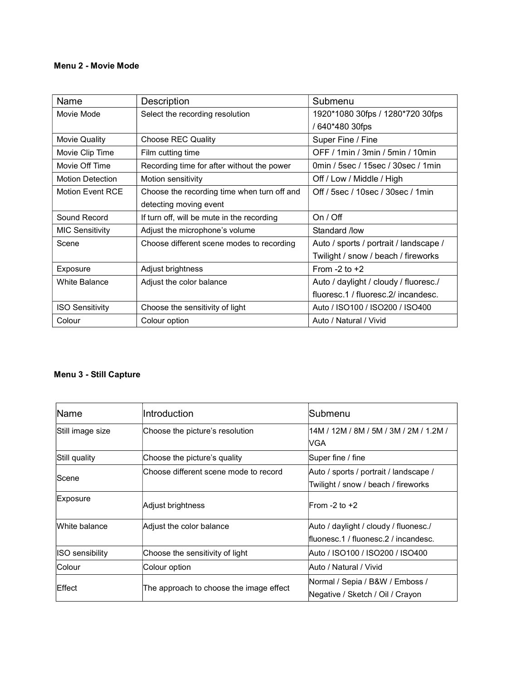#### Menu 2 - Movie Mode

| Name                    | Description                                 | Submenu                                |
|-------------------------|---------------------------------------------|----------------------------------------|
| Movie Mode              | Select the recording resolution             | 1920*1080 30fps / 1280*720 30fps       |
|                         |                                             | / 640*480 30fps                        |
| Movie Quality           | Choose REC Quality                          | Super Fine / Fine                      |
| Movie Clip Time         | Film cutting time                           | OFF / 1min / 3min / 5min / 10min       |
| Movie Off Time          | Recording time for after without the power  | 0min / 5sec / 15sec / 30sec / 1min     |
| <b>Motion Detection</b> | Motion sensitivity                          | Off / Low / Middle / High              |
| Motion Event RCE        | Choose the recording time when turn off and | Off / 5sec / 10sec / 30sec / 1min      |
|                         | detecting moving event                      |                                        |
|                         |                                             |                                        |
| Sound Record            | If turn off, will be mute in the recording  | On / Off                               |
| <b>MIC Sensitivity</b>  | Adjust the microphone's volume              | Standard /low                          |
| Scene                   | Choose different scene modes to recording   | Auto / sports / portrait / landscape / |
|                         |                                             | Twilight / snow / beach / fireworks    |
| Exposure                | Adjust brightness                           | From $-2$ to $+2$                      |
| <b>White Balance</b>    | Adjust the color balance                    | Auto / daylight / cloudy / fluoresc./  |
|                         |                                             | fluoresc.1 / fluoresc.2/ incandesc.    |
| <b>ISO Sensitivity</b>  | Choose the sensitivity of light             | Auto / ISO100 / ISO200 / ISO400        |

## Menu 3 - Still Capture

| <b>Name</b>      | <b>Introduction</b>                     | lSubmenu                                                                      |
|------------------|-----------------------------------------|-------------------------------------------------------------------------------|
| Still image size | Choose the picture's resolution         | 14M / 12M / 8M / 5M / 3M / 2M / 1.2M /<br>lVGA.                               |
| Still quality    | Choose the picture's quality            | Super fine / fine                                                             |
| lScene           | Choose different scene mode to record   | Auto / sports / portrait / landscape /<br>Twilight / snow / beach / fireworks |
| Exposure         | Adjust brightness                       | $From -2 to +2$                                                               |
| White balance    | Adjust the color balance                | Auto / daylight / cloudy / fluonesc./<br>fluonesc.1 / fluonesc.2 / incandesc. |
| ISO sensibility  | Choose the sensitivity of light         | Auto / ISO100 / ISO200 / ISO400                                               |
| lColour          | Colour option                           | Auto / Natural / Vivid                                                        |
| Effect           | The approach to choose the image effect | Normal / Sepia / B&W / Emboss /<br>Negative / Sketch / Oil / Crayon           |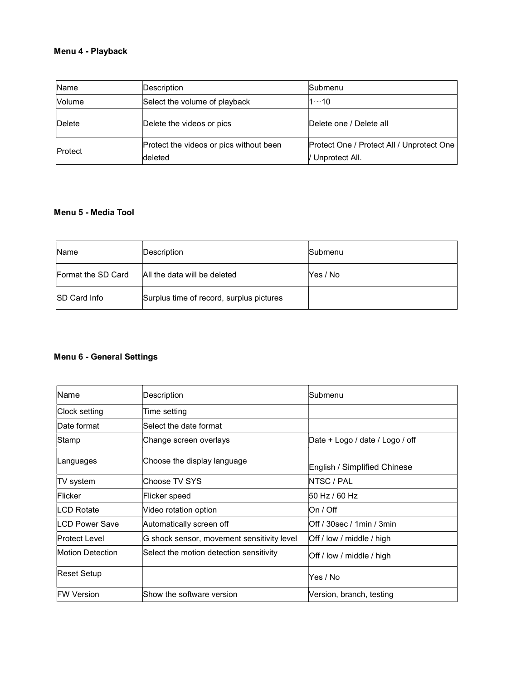## Menu 4 - Playback

| Name           | Description                             | Submenu                                   |
|----------------|-----------------------------------------|-------------------------------------------|
| <b>Volume</b>  | Select the volume of playback           | $1 - 10$                                  |
| Delete         | Delete the videos or pics               | Delete one / Delete all                   |
| <b>Protect</b> | Protect the videos or pics without been | Protect One / Protect All / Unprotect One |
|                | deleted                                 | / Unprotect All.                          |

### Menu 5 - Media Tool

| <b>Name</b>          | Description                              | Submenu  |
|----------------------|------------------------------------------|----------|
| Format the SD Card   | All the data will be deleted             | Yes / No |
| <b>ISD Card Info</b> | Surplus time of record, surplus pictures |          |

## Menu 6 - General Settings

| Name                 | Description                                | Submenu                         |
|----------------------|--------------------------------------------|---------------------------------|
| Clock setting        | Time setting                               |                                 |
| Date format          | Select the date format                     |                                 |
| Stamp                | Change screen overlays                     | Date + Logo / date / Logo / off |
| Languages            | Choose the display language                | English / Simplified Chinese    |
| TV system            | Choose TV SYS                              | NTSC / PAL                      |
| Flicker              | Flicker speed                              | 50 Hz / 60 Hz                   |
| LCD Rotate           | Video rotation option                      | lOn / Off                       |
| LCD Power Save       | Automatically screen off                   | Off / 30sec / 1min / 3min       |
| <b>Protect Level</b> | G shock sensor, movement sensitivity level | Off / low / middle / high       |
| Motion Detection     | Select the motion detection sensitivity    | Off / low / middle / high       |
| Reset Setup          |                                            | Yes / No                        |
| <b>FW Version</b>    | Show the software version                  | Version, branch, testing        |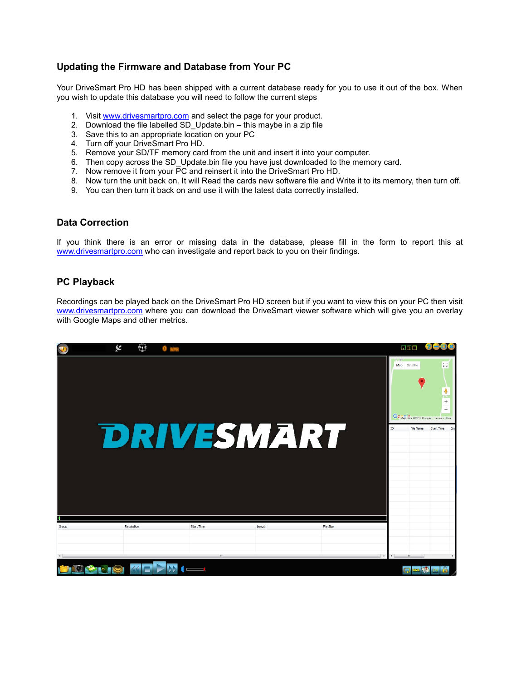## Updating the Firmware and Database from Your PC

Your DriveSmart Pro HD has been shipped with a current database ready for you to use it out of the box. When you wish to update this database you will need to follow the current steps

- 1. Visit www.drivesmartpro.com and select the page for your product.
- 2. Download the file labelled SD\_Update.bin this maybe in a zip file
- 3. Save this to an appropriate location on your PC
- 4. Turn off your DriveSmart Pro HD.
- 5. Remove your SD/TF memory card from the unit and insert it into your computer.
- 6. Then copy across the SD\_Update.bin file you have just downloaded to the memory card.
- 7. Now remove it from your PC and reinsert it into the DriveSmart Pro HD.
- 8. Now turn the unit back on. It will Read the cards new software file and Write it to its memory, then turn off.
- 9. You can then turn it back on and use it with the latest data correctly installed.

#### Data Correction

If you think there is an error or missing data in the database, please fill in the form to report this at www.drivesmartpro.com who can investigate and report back to you on their findings.

#### PC Playback

Recordings can be played back on the DriveSmart Pro HD screen but if you want to view this on your PC then visit www.drivesmartpro.com where you can download the DriveSmart viewer software which will give you an overlay with Google Maps and other metrics.

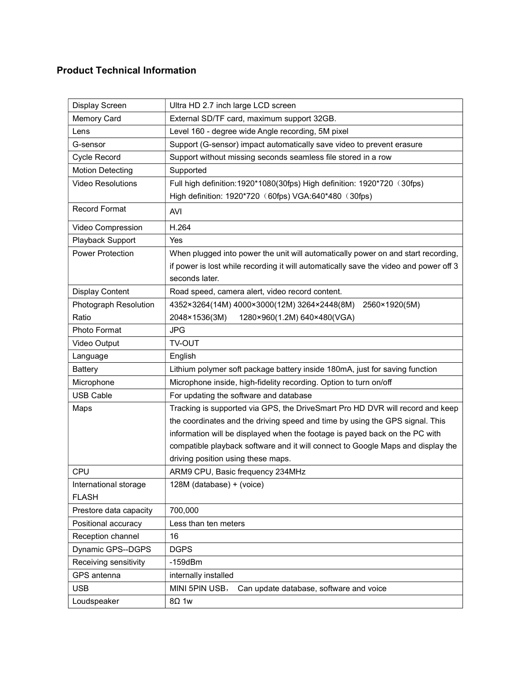# Product Technical Information

| Display Screen           | Ultra HD 2.7 inch large LCD screen                                                    |  |
|--------------------------|---------------------------------------------------------------------------------------|--|
| Memory Card              | External SD/TF card, maximum support 32GB.                                            |  |
| Lens                     | Level 160 - degree wide Angle recording, 5M pixel                                     |  |
| G-sensor                 | Support (G-sensor) impact automatically save video to prevent erasure                 |  |
| Cycle Record             | Support without missing seconds seamless file stored in a row                         |  |
| <b>Motion Detecting</b>  | Supported                                                                             |  |
| <b>Video Resolutions</b> | Full high definition: 1920*1080(30fps) High definition: 1920*720 (30fps)              |  |
|                          | High definition: 1920*720 (60fps) VGA:640*480 (30fps)                                 |  |
| <b>Record Format</b>     | AVI                                                                                   |  |
| Video Compression        | H.264                                                                                 |  |
| Playback Support         | Yes                                                                                   |  |
| <b>Power Protection</b>  | When plugged into power the unit will automatically power on and start recording,     |  |
|                          | if power is lost while recording it will automatically save the video and power off 3 |  |
|                          | seconds later.                                                                        |  |
| <b>Display Content</b>   | Road speed, camera alert, video record content.                                       |  |
| Photograph Resolution    | 4352×3264(14M) 4000×3000(12M) 3264×2448(8M)<br>2560×1920(5M)                          |  |
| Ratio                    | 2048×1536(3M)<br>1280×960(1.2M) 640×480(VGA)                                          |  |
| Photo Format             | <b>JPG</b>                                                                            |  |
| Video Output             | <b>TV-OUT</b>                                                                         |  |
| Language                 | English                                                                               |  |
| <b>Battery</b>           | Lithium polymer soft package battery inside 180mA, just for saving function           |  |
| Microphone               | Microphone inside, high-fidelity recording. Option to turn on/off                     |  |
| <b>USB Cable</b>         | For updating the software and database                                                |  |
| Maps                     | Tracking is supported via GPS, the DriveSmart Pro HD DVR will record and keep         |  |
|                          | the coordinates and the driving speed and time by using the GPS signal. This          |  |
|                          | information will be displayed when the footage is payed back on the PC with           |  |
|                          | compatible playback software and it will connect to Google Maps and display the       |  |
|                          | driving position using these maps.                                                    |  |
| <b>CPU</b>               | ARM9 CPU, Basic frequency 234MHz                                                      |  |
| International storage    | 128M (database) + (voice)                                                             |  |
| <b>FLASH</b>             |                                                                                       |  |
| Prestore data capacity   | 700,000                                                                               |  |
| Positional accuracy      | Less than ten meters                                                                  |  |
| Reception channel        | 16                                                                                    |  |
| Dynamic GPS--DGPS        | <b>DGPS</b>                                                                           |  |
| Receiving sensitivity    | $-159$ d $Bm$                                                                         |  |
| GPS antenna              | internally installed                                                                  |  |
| <b>USB</b>               | MINI 5PIN USB,<br>Can update database, software and voice                             |  |
| Loudspeaker              | $8\Omega$ 1w                                                                          |  |